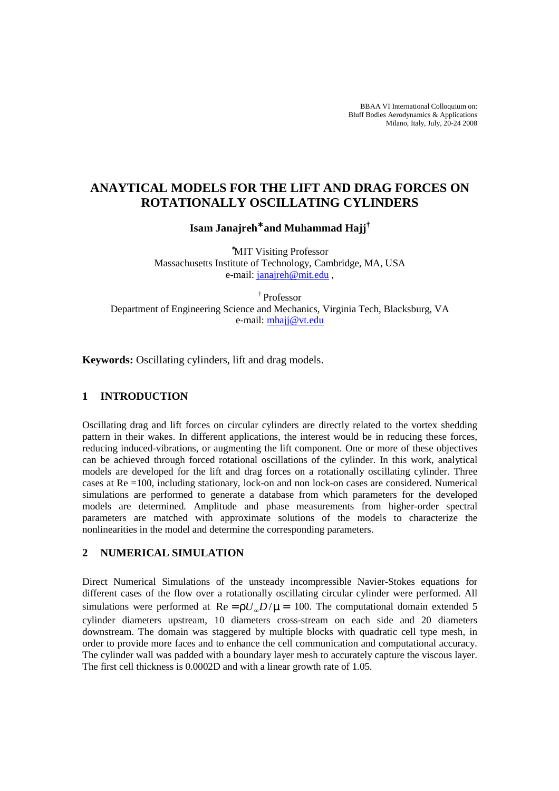BBAA VI International Colloquium on: Bluff Bodies Aerodynamics & Applications Milano, Italy, July, 20-24 2008

# **ANAYTICAL MODELS FOR THE LIFT AND DRAG FORCES ON ROTATIONALLY OSCILLATING CYLINDERS**

**Isam Janajreh**<sup>∗</sup> **and Muhammad Hajj†**

<sup>∗</sup>MIT Visiting Professor Massachusetts Institute of Technology, Cambridge, MA, USA e-mail: janajreh@mit.edu ,

† Professor Department of Engineering Science and Mechanics, Virginia Tech, Blacksburg, VA e-mail: mhajj@vt.edu

**Keywords:** Oscillating cylinders, lift and drag models.

## **1 INTRODUCTION**

Oscillating drag and lift forces on circular cylinders are directly related to the vortex shedding pattern in their wakes. In different applications, the interest would be in reducing these forces, reducing induced-vibrations, or augmenting the lift component. One or more of these objectives can be achieved through forced rotational oscillations of the cylinder. In this work, analytical models are developed for the lift and drag forces on a rotationally oscillating cylinder. Three cases at Re =100, including stationary, lock-on and non lock-on cases are considered. Numerical simulations are performed to generate a database from which parameters for the developed models are determined. Amplitude and phase measurements from higher-order spectral parameters are matched with approximate solutions of the models to characterize the nonlinearities in the model and determine the corresponding parameters.

## **2 NUMERICAL SIMULATION**

Direct Numerical Simulations of the unsteady incompressible Navier-Stokes equations for different cases of the flow over a rotationally oscillating circular cylinder were performed. All simulations were performed at  $\text{Re} = \frac{\rho U_{\phi} D}{\mu} = 100$ . The computational domain extended 5 cylinder diameters upstream, 10 diameters cross-stream on each side and 20 diameters downstream. The domain was staggered by multiple blocks with quadratic cell type mesh, in order to provide more faces and to enhance the cell communication and computational accuracy. The cylinder wall was padded with a boundary layer mesh to accurately capture the viscous layer. The first cell thickness is 0.0002D and with a linear growth rate of 1.05.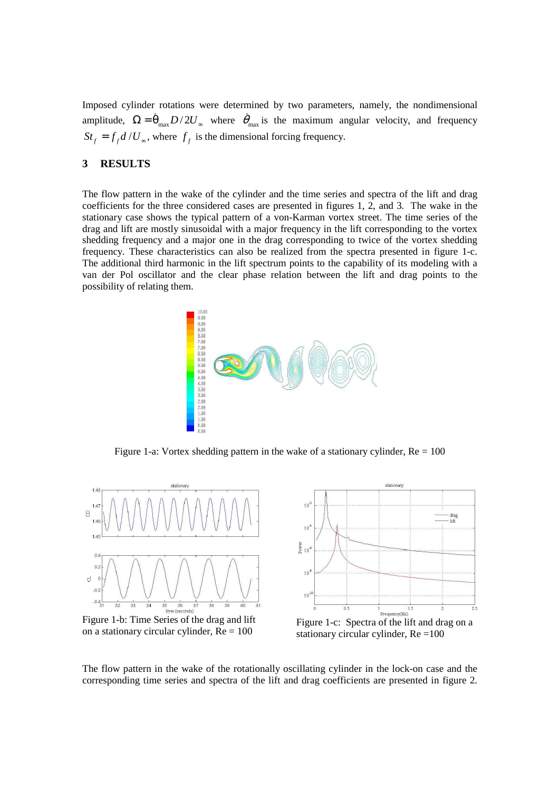Imposed cylinder rotations were determined by two parameters, namely, the nondimensional amplitude,  $\Omega = \dot{\theta}_{\text{max}} D / 2U_{\infty}$  where  $\dot{\theta}_{\text{max}}$  is the maximum angular velocity, and frequency  $St_f = f_f d / U_{\infty}$ , where  $f_f$  is the dimensional forcing frequency.

### **3 RESULTS**

The flow pattern in the wake of the cylinder and the time series and spectra of the lift and drag coefficients for the three considered cases are presented in figures 1, 2, and 3. The wake in the stationary case shows the typical pattern of a von-Karman vortex street. The time series of the drag and lift are mostly sinusoidal with a major frequency in the lift corresponding to the vortex shedding frequency and a major one in the drag corresponding to twice of the vortex shedding frequency. These characteristics can also be realized from the spectra presented in figure 1-c. The additional third harmonic in the lift spectrum points to the capability of its modeling with a van der Pol oscillator and the clear phase relation between the lift and drag points to the possibility of relating them.



Figure 1-a: Vortex shedding pattern in the wake of a stationary cylinder,  $Re = 100$ 



The flow pattern in the wake of the rotationally oscillating cylinder in the lock-on case and the corresponding time series and spectra of the lift and drag coefficients are presented in figure 2.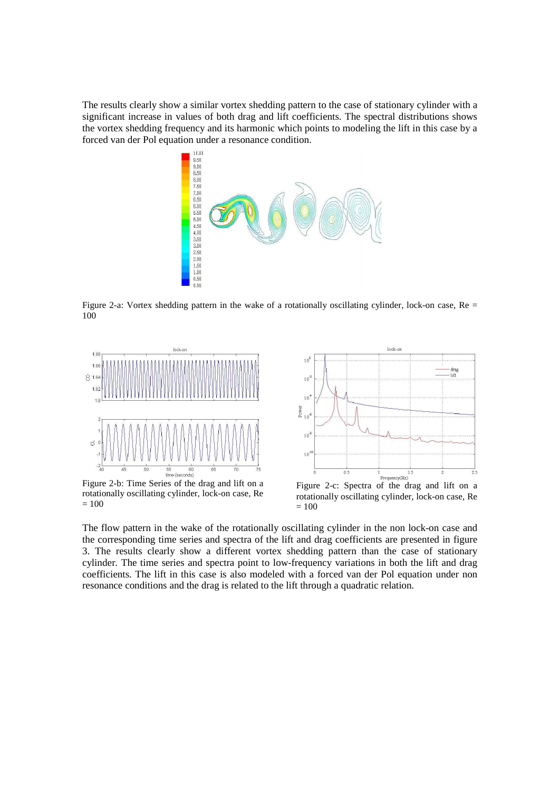The results clearly show a similar vortex shedding pattern to the case of stationary cylinder with a significant increase in values of both drag and lift coefficients. The spectral distributions shows the vortex shedding frequency and its harmonic which points to modeling the lift in this case by a forced van der Pol equation under a resonance condition.



Figure 2-a: Vortex shedding pattern in the wake of a rotationally oscillating cylinder, lock-on case, Re = 100



Figure 2-b: Time Series of the drag and lift on a rotationally oscillating cylinder, lock-on case, Re  $= 100$ 



rotationally oscillating cylinder, lock-on case, Re  $= 100$ 

The flow pattern in the wake of the rotationally oscillating cylinder in the non lock-on case and the corresponding time series and spectra of the lift and drag coefficients are presented in figure 3. The results clearly show a different vortex shedding pattern than the case of stationary cylinder. The time series and spectra point to low-frequency variations in both the lift and drag coefficients. The lift in this case is also modeled with a forced van der Pol equation under non resonance conditions and the drag is related to the lift through a quadratic relation.